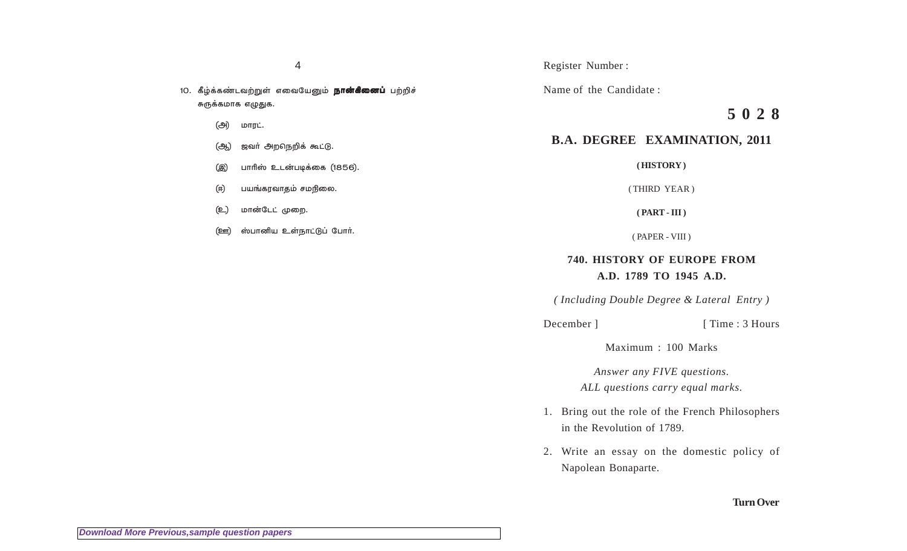4

10. கீழ்க்கண்டவற்றுள் எவையேனும் **நான்கினைப்** பற்றிச் சுருக்கமாக எழுதுக.

- (அ்) மாரட்.
- (ஆ) ஜவா் அறநெறிக் கூட்டு.
- (இ) பாரிஸ் உடன்படிக்கை (1856).
- (ஈ) பயங்கரவாதம் சமநிலை.
- (உ) மான்டேட் முறை.
- (ஊ) ஸ்பானிய உள்நாட்டுப் போர்.

### Register Number :

Name of the Candidate :

# **5 0 2 8**

# **B.A. DEGREE EXAMINATION, 2011**

**( HISTORY )**

( THIRD YEAR )

**( PART - III )**

( PAPER - VIII )

## **740. HISTORY OF EUROPE FROM A.D. 1789 TO 1945 A.D.**

*( Including Double Degree & Lateral Entry )*

December ] [ Time : 3 Hours

Maximum : 100 Marks

*Answer any FIVE questions. ALL questions carry equal marks.*

- 1. Bring out the role of the French Philosophers in the Revolution of 1789.
- 2. Write an essay on the domestic policy of Napolean Bonaparte.

### **Turn Over**